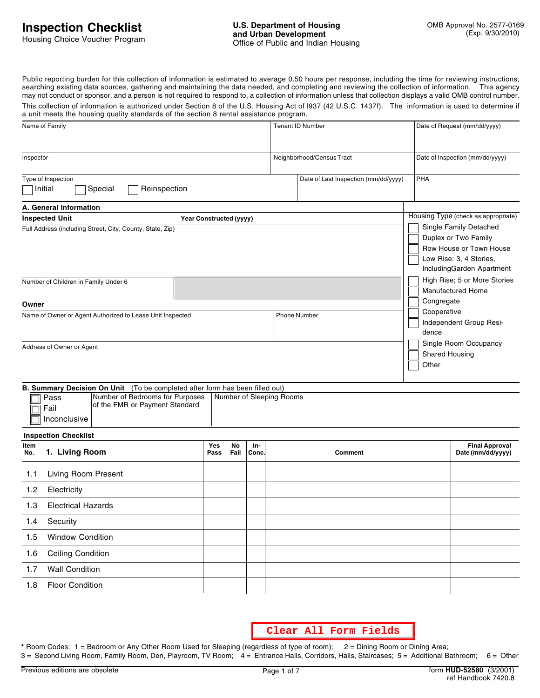Public reporting burden for this collection of information is estimated to average 0.50 hours per response, including the time for reviewing instructions, searching existing data sources, gathering and maintaining the data needed, and completing and reviewing the collection of information. This agency may not conduct or sponsor, and a person is not required to respond to, a collection of information unless that collection displays a valid OMB control number. This collection of information is authorized under Section 8 of the U.S. Housing Act of l937 (42 U.S.C. 1437f). The information is used to determine if a unit meets the housing quality standards of the section 8 rental assistance program.

| a unit meets the nousing quality standards or the section offental assistance program.            |                    |                           |              |                          |                                                                                                                                   |     |                                                          |  |
|---------------------------------------------------------------------------------------------------|--------------------|---------------------------|--------------|--------------------------|-----------------------------------------------------------------------------------------------------------------------------------|-----|----------------------------------------------------------|--|
| Name of Family                                                                                    |                    |                           |              | <b>Tenant ID Number</b>  |                                                                                                                                   |     | Date of Request (mm/dd/yyyy)                             |  |
| Inspector                                                                                         |                    | Neighborhood/Census Tract |              |                          |                                                                                                                                   |     | Date of Inspection (mm/dd/yyyy)                          |  |
| Type of Inspection<br>Initial<br>Reinspection<br>Special                                          |                    |                           |              |                          | Date of Last Inspection (mm/dd/yyyy)                                                                                              | PHA |                                                          |  |
| A. General Information                                                                            |                    |                           |              |                          |                                                                                                                                   |     |                                                          |  |
| <b>Inspected Unit</b><br>Year Constructed (yyyy)                                                  |                    |                           |              |                          |                                                                                                                                   |     | Housing Type (check as appropriate)                      |  |
| Full Address (including Street, City, County, State, Zip)                                         |                    |                           |              |                          | Single Family Detached<br>Duplex or Two Family<br>Row House or Town House<br>Low Rise: 3, 4 Stories,<br>IncludingGarden Apartment |     |                                                          |  |
| Number of Children in Family Under 6                                                              |                    |                           |              |                          |                                                                                                                                   |     | High Rise; 5 or More Stories<br><b>Manufactured Home</b> |  |
| Owner                                                                                             |                    |                           |              |                          |                                                                                                                                   |     | Congregate                                               |  |
| Name of Owner or Agent Authorized to Lease Unit Inspected                                         |                    |                           |              |                          | <b>Phone Number</b>                                                                                                               |     | Cooperative<br>Independent Group Resi-<br>dence          |  |
| Address of Owner or Agent                                                                         |                    |                           |              | Other                    |                                                                                                                                   |     | Single Room Occupancy<br>Shared Housing                  |  |
| <b>B. Summary Decision On Unit</b> (To be completed after form has been filled out)               |                    |                           |              |                          |                                                                                                                                   |     |                                                          |  |
| Number of Bedrooms for Purposes<br>Pass<br>of the FMR or Payment Standard<br>Fail<br>Inconclusive |                    |                           |              | Number of Sleeping Rooms |                                                                                                                                   |     |                                                          |  |
| <b>Inspection Checklist</b>                                                                       |                    |                           |              |                          |                                                                                                                                   |     |                                                          |  |
| Item<br>1. Living Room<br>No.                                                                     | <b>Yes</b><br>Pass | No<br>Fail                | In-<br>Conc. |                          | Comment                                                                                                                           |     | <b>Final Approval</b><br>Date (mm/dd/yyyy)               |  |
| Living Room Present<br>1.1                                                                        |                    |                           |              |                          |                                                                                                                                   |     |                                                          |  |
| 1.2<br>Electricity                                                                                |                    |                           |              |                          |                                                                                                                                   |     |                                                          |  |
| 1.3<br><b>Electrical Hazards</b>                                                                  |                    |                           |              |                          |                                                                                                                                   |     |                                                          |  |
| Security<br>1.4                                                                                   |                    |                           |              |                          |                                                                                                                                   |     |                                                          |  |
| <b>Window Condition</b><br>1.5                                                                    |                    |                           |              |                          |                                                                                                                                   |     |                                                          |  |
| <b>Ceiling Condition</b><br>1.6                                                                   |                    |                           |              |                          |                                                                                                                                   |     |                                                          |  |
| <b>Wall Condition</b><br>1.7                                                                      |                    |                           |              |                          |                                                                                                                                   |     |                                                          |  |
| <b>Floor Condition</b><br>1.8                                                                     |                    |                           |              |                          |                                                                                                                                   |     |                                                          |  |

**Clear All Form Fields**

**\*** Room Codes: 1 = Bedroom or Any Other Room Used for Sleeping (regardless of type of room); 2 = Dining Room or Dining Area; 3 = Second Living Room, Family Room, Den, Playroom, TV Room; 4 = Entrance Halls, Corridors, Halls, Staircases; 5 = Additional Bathroom; 6 = Other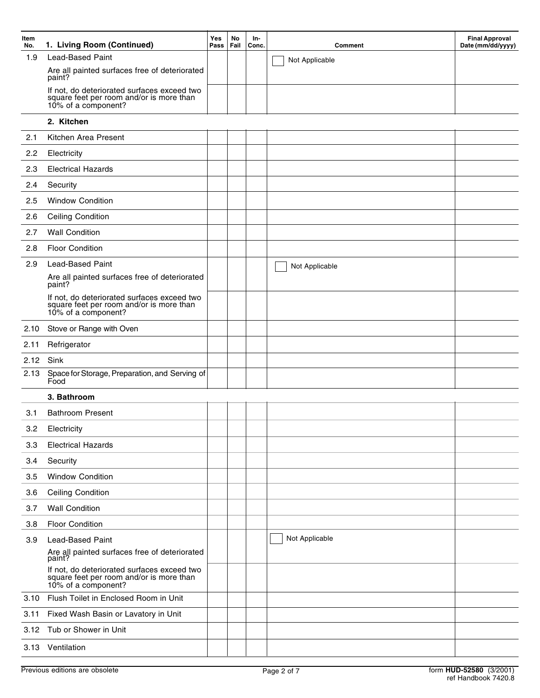| Item<br>No. | 1. Living Room (Continued)                                                                                     | Yes<br>Pass | No<br>Fail | In-<br>Conc. | <b>Comment</b> | <b>Final Approval</b><br>Date (mm/dd/yyyy) |
|-------------|----------------------------------------------------------------------------------------------------------------|-------------|------------|--------------|----------------|--------------------------------------------|
| 1.9         | <b>Lead-Based Paint</b>                                                                                        |             |            |              | Not Applicable |                                            |
|             | Are all painted surfaces free of deteriorated<br>paint?                                                        |             |            |              |                |                                            |
|             | If not, do deteriorated surfaces exceed two<br>square feet per room and/or is more than<br>10% of a component? |             |            |              |                |                                            |
|             | 2. Kitchen                                                                                                     |             |            |              |                |                                            |
| 2.1         | Kitchen Area Present                                                                                           |             |            |              |                |                                            |
| 2.2         | Electricity                                                                                                    |             |            |              |                |                                            |
| 2.3         | <b>Electrical Hazards</b>                                                                                      |             |            |              |                |                                            |
| 2.4         | Security                                                                                                       |             |            |              |                |                                            |
| 2.5         | <b>Window Condition</b>                                                                                        |             |            |              |                |                                            |
| 2.6         | <b>Ceiling Condition</b>                                                                                       |             |            |              |                |                                            |
| 2.7         | <b>Wall Condition</b>                                                                                          |             |            |              |                |                                            |
| 2.8         | <b>Floor Condition</b>                                                                                         |             |            |              |                |                                            |
| 2.9         | <b>Lead-Based Paint</b>                                                                                        |             |            |              | Not Applicable |                                            |
|             | Are all painted surfaces free of deteriorated<br>paint?                                                        |             |            |              |                |                                            |
|             | If not, do deteriorated surfaces exceed two<br>square feet per room and/or is more than<br>10% of a component? |             |            |              |                |                                            |
| 2.10        | Stove or Range with Oven                                                                                       |             |            |              |                |                                            |
| 2.11        | Refrigerator                                                                                                   |             |            |              |                |                                            |
| 2.12        | Sink                                                                                                           |             |            |              |                |                                            |
| 2.13        | Space for Storage, Preparation, and Serving of<br>Food                                                         |             |            |              |                |                                            |
|             | 3. Bathroom                                                                                                    |             |            |              |                |                                            |
| 3.1         | <b>Bathroom Present</b>                                                                                        |             |            |              |                |                                            |
| 3.2         | Electricity                                                                                                    |             |            |              |                |                                            |
| 3.3         | <b>Electrical Hazards</b>                                                                                      |             |            |              |                |                                            |
| 3.4         | Security                                                                                                       |             |            |              |                |                                            |
| 3.5         | <b>Window Condition</b>                                                                                        |             |            |              |                |                                            |
| 3.6         | <b>Ceiling Condition</b>                                                                                       |             |            |              |                |                                            |
| 3.7         | <b>Wall Condition</b>                                                                                          |             |            |              |                |                                            |
| 3.8         | <b>Floor Condition</b>                                                                                         |             |            |              |                |                                            |
| 3.9         | <b>Lead-Based Paint</b><br>Are all painted surfaces free of deteriorated<br>paint?                             |             |            |              | Not Applicable |                                            |
|             | If not, do deteriorated surfaces exceed two<br>square feet per room and/or is more than<br>10% of a component? |             |            |              |                |                                            |
| 3.10        | Flush Toilet in Enclosed Room in Unit                                                                          |             |            |              |                |                                            |
| 3.11        | Fixed Wash Basin or Lavatory in Unit                                                                           |             |            |              |                |                                            |
|             | 3.12 Tub or Shower in Unit                                                                                     |             |            |              |                |                                            |
|             | 3.13 Ventilation                                                                                               |             |            |              |                |                                            |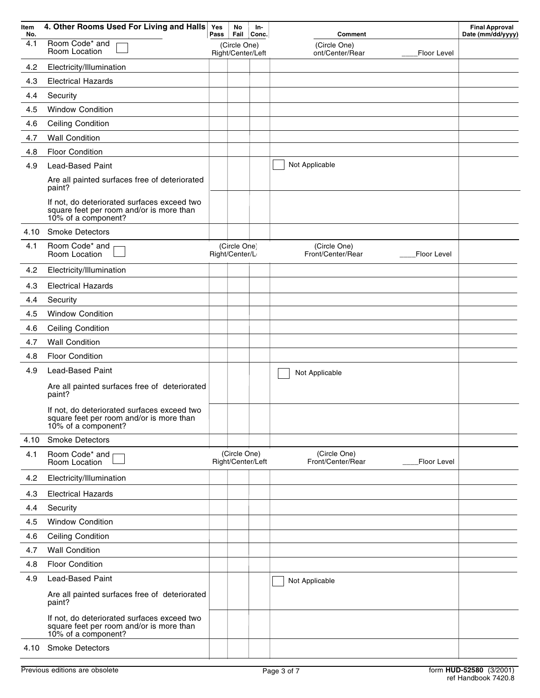| Item<br>No. | 4. Other Rooms Used For Living and Halls                                                                       | Yes<br>Pass | No<br>Fail                        | In-<br>Conc.      | <b>Comment</b>                                   | <b>Final Approval</b><br>Date (mm/dd/yyyy) |
|-------------|----------------------------------------------------------------------------------------------------------------|-------------|-----------------------------------|-------------------|--------------------------------------------------|--------------------------------------------|
| 4.1         | Room Code* and<br>Room Location                                                                                |             | (Circle One)<br>Right/Center/Left |                   | (Circle One)<br>ont/Center/Rear<br>Floor Level   |                                            |
| 4.2         | Electricity/Illumination                                                                                       |             |                                   |                   |                                                  |                                            |
| 4.3         | <b>Electrical Hazards</b>                                                                                      |             |                                   |                   |                                                  |                                            |
| 4.4         | Security                                                                                                       |             |                                   |                   |                                                  |                                            |
| 4.5         | <b>Window Condition</b>                                                                                        |             |                                   |                   |                                                  |                                            |
| 4.6         | <b>Ceiling Condition</b>                                                                                       |             |                                   |                   |                                                  |                                            |
| 4.7         | <b>Wall Condition</b>                                                                                          |             |                                   |                   |                                                  |                                            |
| 4.8         | <b>Floor Condition</b>                                                                                         |             |                                   |                   |                                                  |                                            |
| 4.9         | <b>Lead-Based Paint</b>                                                                                        |             |                                   |                   | Not Applicable                                   |                                            |
|             | Are all painted surfaces free of deteriorated<br>paint?                                                        |             |                                   |                   |                                                  |                                            |
|             | If not, do deteriorated surfaces exceed two<br>square feet per room and/or is more than<br>10% of a component? |             |                                   |                   |                                                  |                                            |
| 4.10        | <b>Smoke Detectors</b>                                                                                         |             |                                   |                   |                                                  |                                            |
| 4.1         | Room Code* and<br>Room Location                                                                                |             | (Circle One)<br>Right/Center/L    |                   | (Circle One)<br>Front/Center/Rear<br>Floor Level |                                            |
| 4.2         | Electricity/Illumination                                                                                       |             |                                   |                   |                                                  |                                            |
| 4.3         | <b>Electrical Hazards</b>                                                                                      |             |                                   |                   |                                                  |                                            |
| 4.4         | Security                                                                                                       |             |                                   |                   |                                                  |                                            |
| 4.5         | <b>Window Condition</b>                                                                                        |             |                                   |                   |                                                  |                                            |
| 4.6         | <b>Ceiling Condition</b>                                                                                       |             |                                   |                   |                                                  |                                            |
| 4.7         | <b>Wall Condition</b>                                                                                          |             |                                   |                   |                                                  |                                            |
| 4.8         | <b>Floor Condition</b>                                                                                         |             |                                   |                   |                                                  |                                            |
| 4.9         | <b>Lead-Based Paint</b>                                                                                        |             |                                   |                   |                                                  |                                            |
|             | Are all painted surfaces free of deteriorated<br>paint?                                                        |             |                                   |                   | Not Applicable                                   |                                            |
|             | If not, do deteriorated surfaces exceed two<br>square feet per room and/or is more than<br>10% of a component? |             |                                   |                   |                                                  |                                            |
| 4.10        | <b>Smoke Detectors</b>                                                                                         |             |                                   |                   |                                                  |                                            |
| 4.1         | Room Code* and<br>Room Location                                                                                |             | (Circle One)                      | Right/Center/Left | (Circle One)<br>Front/Center/Rear<br>Floor Level |                                            |
| 4.2         | Electricity/Illumination                                                                                       |             |                                   |                   |                                                  |                                            |
| 4.3         | <b>Electrical Hazards</b>                                                                                      |             |                                   |                   |                                                  |                                            |
| 4.4         | Security                                                                                                       |             |                                   |                   |                                                  |                                            |
| 4.5         | <b>Window Condition</b>                                                                                        |             |                                   |                   |                                                  |                                            |
| 4.6         | <b>Ceiling Condition</b>                                                                                       |             |                                   |                   |                                                  |                                            |
| 4.7         | <b>Wall Condition</b>                                                                                          |             |                                   |                   |                                                  |                                            |
| 4.8         | <b>Floor Condition</b>                                                                                         |             |                                   |                   |                                                  |                                            |
| 4.9         | <b>Lead-Based Paint</b>                                                                                        |             |                                   |                   | Not Applicable                                   |                                            |
|             | Are all painted surfaces free of deteriorated<br>paint?                                                        |             |                                   |                   |                                                  |                                            |
|             | If not, do deteriorated surfaces exceed two<br>square feet per room and/or is more than<br>10% of a component? |             |                                   |                   |                                                  |                                            |
| 4.10        | <b>Smoke Detectors</b>                                                                                         |             |                                   |                   |                                                  |                                            |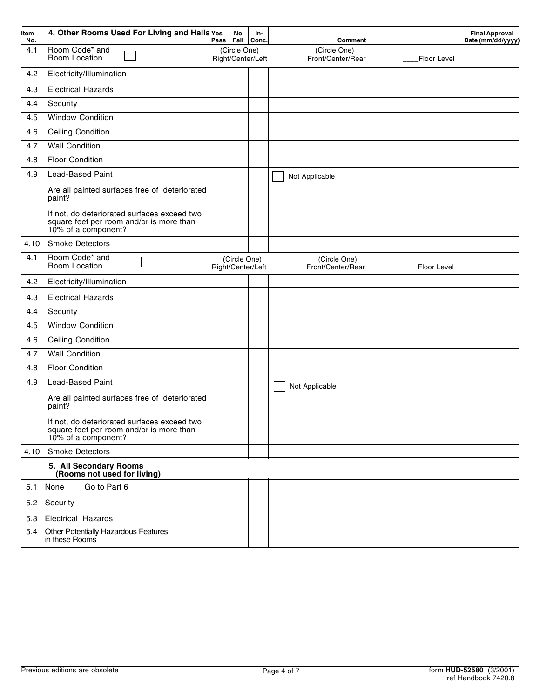| Item<br>No. | 4. Other Rooms Used For Living and Halls Yes                                                                   | Pass | No<br>Fail   | In-<br><b>Conc</b> | Comment                                          | <b>Final Approval</b><br>Date (mm/dd/yyyy) |
|-------------|----------------------------------------------------------------------------------------------------------------|------|--------------|--------------------|--------------------------------------------------|--------------------------------------------|
| 4.1         | Room Code* and<br>Room Location                                                                                |      | (Circle One) | Right/Center/Left  | (Circle One)<br>Front/Center/Rear<br>Floor Level |                                            |
| 4.2         | Electricity/Illumination                                                                                       |      |              |                    |                                                  |                                            |
| 4.3         | <b>Electrical Hazards</b>                                                                                      |      |              |                    |                                                  |                                            |
| 4.4         | Security                                                                                                       |      |              |                    |                                                  |                                            |
| 4.5         | <b>Window Condition</b>                                                                                        |      |              |                    |                                                  |                                            |
| 4.6         | <b>Ceiling Condition</b>                                                                                       |      |              |                    |                                                  |                                            |
| 4.7         | <b>Wall Condition</b>                                                                                          |      |              |                    |                                                  |                                            |
| 4.8         | <b>Floor Condition</b>                                                                                         |      |              |                    |                                                  |                                            |
| 4.9         | <b>Lead-Based Paint</b>                                                                                        |      |              |                    | Not Applicable                                   |                                            |
|             | Are all painted surfaces free of deteriorated<br>paint?                                                        |      |              |                    |                                                  |                                            |
|             | If not, do deteriorated surfaces exceed two<br>square feet per room and/or is more than<br>10% of a component? |      |              |                    |                                                  |                                            |
| 4.10        | <b>Smoke Detectors</b>                                                                                         |      |              |                    |                                                  |                                            |
| 4.1         | Room Code* and<br>Room Location                                                                                |      | (Circle One) | Right/Center/Left  | (Circle One)<br>Front/Center/Rear<br>Floor Level |                                            |
| 4.2         | Electricity/Illumination                                                                                       |      |              |                    |                                                  |                                            |
| 4.3         | <b>Electrical Hazards</b>                                                                                      |      |              |                    |                                                  |                                            |
| 4.4         | Security                                                                                                       |      |              |                    |                                                  |                                            |
| 4.5         | <b>Window Condition</b>                                                                                        |      |              |                    |                                                  |                                            |
| 4.6         | <b>Ceiling Condition</b>                                                                                       |      |              |                    |                                                  |                                            |
| 4.7         | <b>Wall Condition</b>                                                                                          |      |              |                    |                                                  |                                            |
| 4.8         | <b>Floor Condition</b>                                                                                         |      |              |                    |                                                  |                                            |
| 4.9         | <b>Lead-Based Paint</b><br>Are all painted surfaces free of deteriorated<br>paint?                             |      |              |                    | Not Applicable                                   |                                            |
|             | If not, do deteriorated surfaces exceed two<br>square feet per room and/or is more than<br>10% of a component? |      |              |                    |                                                  |                                            |
| 4.10        | <b>Smoke Detectors</b>                                                                                         |      |              |                    |                                                  |                                            |
|             | 5. All Secondary Rooms<br>(Rooms not used for living)                                                          |      |              |                    |                                                  |                                            |
|             | Go to Part 6<br>5.1 None                                                                                       |      |              |                    |                                                  |                                            |
|             | 5.2 Security                                                                                                   |      |              |                    |                                                  |                                            |
| 5.3         | <b>Electrical Hazards</b>                                                                                      |      |              |                    |                                                  |                                            |
| 5.4         | Other Potentially Hazardous Features<br>in these Rooms                                                         |      |              |                    |                                                  |                                            |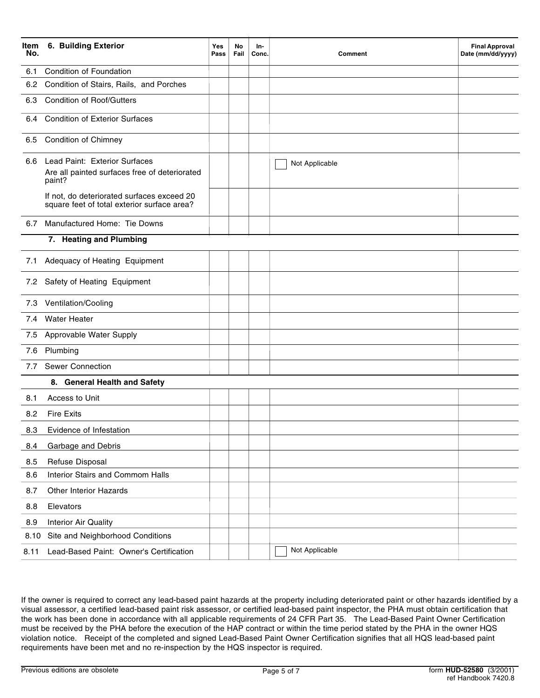| No.  | Item 6. Building Exterior                                                                 | Yes<br>Pass | No<br>Fail | In-<br>Conc. | Comment        | <b>Final Approval</b><br>Date (mm/dd/yyyy) |
|------|-------------------------------------------------------------------------------------------|-------------|------------|--------------|----------------|--------------------------------------------|
| 6.1  | <b>Condition of Foundation</b>                                                            |             |            |              |                |                                            |
| 6.2  | Condition of Stairs, Rails, and Porches                                                   |             |            |              |                |                                            |
| 6.3  | <b>Condition of Roof/Gutters</b>                                                          |             |            |              |                |                                            |
| 6.4  | <b>Condition of Exterior Surfaces</b>                                                     |             |            |              |                |                                            |
| 6.5  | <b>Condition of Chimney</b>                                                               |             |            |              |                |                                            |
| 6.6  | Lead Paint: Exterior Surfaces<br>Are all painted surfaces free of deteriorated<br>paint?  |             |            |              | Not Applicable |                                            |
|      | If not, do deteriorated surfaces exceed 20<br>square feet of total exterior surface area? |             |            |              |                |                                            |
| 6.7  | Manufactured Home: Tie Downs                                                              |             |            |              |                |                                            |
|      | 7. Heating and Plumbing                                                                   |             |            |              |                |                                            |
| 7.1  | Adequacy of Heating Equipment                                                             |             |            |              |                |                                            |
|      | 7.2 Safety of Heating Equipment                                                           |             |            |              |                |                                            |
|      | 7.3 Ventilation/Cooling                                                                   |             |            |              |                |                                            |
| 7.4  | <b>Water Heater</b>                                                                       |             |            |              |                |                                            |
| 7.5  | Approvable Water Supply                                                                   |             |            |              |                |                                            |
| 7.6  | Plumbing                                                                                  |             |            |              |                |                                            |
| 7.7  | Sewer Connection                                                                          |             |            |              |                |                                            |
|      | 8. General Health and Safety                                                              |             |            |              |                |                                            |
| 8.1  | Access to Unit                                                                            |             |            |              |                |                                            |
| 8.2  | <b>Fire Exits</b>                                                                         |             |            |              |                |                                            |
| 8.3  | Evidence of Infestation                                                                   |             |            |              |                |                                            |
| 8.4  | Garbage and Debris                                                                        |             |            |              |                |                                            |
| 8.5  | Refuse Disposal                                                                           |             |            |              |                |                                            |
| 8.6  | Interior Stairs and Commom Halls                                                          |             |            |              |                |                                            |
| 8.7  | <b>Other Interior Hazards</b>                                                             |             |            |              |                |                                            |
| 8.8  | Elevators                                                                                 |             |            |              |                |                                            |
| 8.9  | <b>Interior Air Quality</b>                                                               |             |            |              |                |                                            |
| 8.10 | Site and Neighborhood Conditions                                                          |             |            |              |                |                                            |
| 8.11 | Lead-Based Paint: Owner's Certification                                                   |             |            |              | Not Applicable |                                            |

If the owner is required to correct any lead-based paint hazards at the property including deteriorated paint or other hazards identified by a visual assessor, a certified lead-based paint risk assessor, or certified lead-based paint inspector, the PHA must obtain certification that the work has been done in accordance with all applicable requirements of 24 CFR Part 35. The Lead-Based Paint Owner Certification must be received by the PHA before the execution of the HAP contract or within the time period stated by the PHA in the owner HQS violation notice. Receipt of the completed and signed Lead-Based Paint Owner Certification signifies that all HQS lead-based paint requirements have been met and no re-inspection by the HQS inspector is required.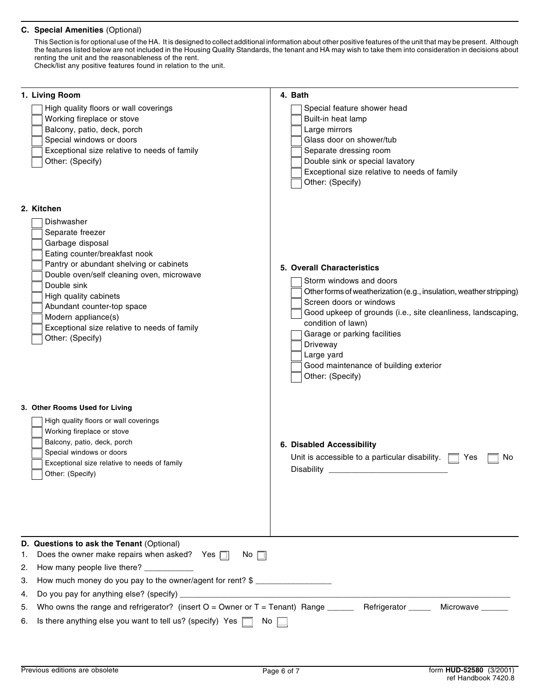## **C. Special Amenities** (Optional)

This Section is for optional use of the HA. It is designed to collect additional information about other positive features of the unit that may be present. Although the features listed below are not included in the Housing Quality Standards, the tenant and HA may wish to take them into consideration in decisions about renting the unit and the reasonableness of the rent. Check/list any positive features found in relation to the unit.

| 1. Living Room                                                                                                                                                                                                                                                                                                                                                                                              | 4. Bath                                                                                                                                                                                                                                                                                                                                                              |  |  |  |  |  |
|-------------------------------------------------------------------------------------------------------------------------------------------------------------------------------------------------------------------------------------------------------------------------------------------------------------------------------------------------------------------------------------------------------------|----------------------------------------------------------------------------------------------------------------------------------------------------------------------------------------------------------------------------------------------------------------------------------------------------------------------------------------------------------------------|--|--|--|--|--|
| High quality floors or wall coverings<br>Working fireplace or stove<br>Balcony, patio, deck, porch<br>Special windows or doors<br>Exceptional size relative to needs of family<br>Other: (Specify)                                                                                                                                                                                                          | Special feature shower head<br>Built-in heat lamp<br>Large mirrors<br>Glass door on shower/tub<br>Separate dressing room<br>Double sink or special lavatory<br>Exceptional size relative to needs of family<br>Other: (Specify)                                                                                                                                      |  |  |  |  |  |
| 2. Kitchen                                                                                                                                                                                                                                                                                                                                                                                                  |                                                                                                                                                                                                                                                                                                                                                                      |  |  |  |  |  |
| Dishwasher<br>Separate freezer<br>Garbage disposal<br>Eating counter/breakfast nook<br>Pantry or abundant shelving or cabinets<br>Double oven/self cleaning oven, microwave<br>Double sink<br>High quality cabinets<br>Abundant counter-top space<br>Modern appliance(s)<br>Exceptional size relative to needs of family<br>Other: (Specify)                                                                | 5. Overall Characteristics<br>Storm windows and doors<br>Other forms of weatherization (e.g., insulation, weather stripping)<br>Screen doors or windows<br>Good upkeep of grounds (i.e., site cleanliness, landscaping,<br>condition of lawn)<br>Garage or parking facilities<br>Driveway<br>Large yard<br>Good maintenance of building exterior<br>Other: (Specify) |  |  |  |  |  |
| 3. Other Rooms Used for Living<br>High quality floors or wall coverings<br>Working fireplace or stove<br>Balcony, patio, deck, porch<br>Special windows or doors<br>Exceptional size relative to needs of family<br>Other: (Specify)                                                                                                                                                                        | 6. Disabled Accessibility<br>Unit is accessible to a particular disability.<br>Yes<br>No.                                                                                                                                                                                                                                                                            |  |  |  |  |  |
| D. Questions to ask the Tenant (Optional)<br>Does the owner make repairs when asked? Yes $\Box$<br>1.<br>No.<br>2.<br>How many people live there? ___________<br>How much money do you pay to the owner/agent for rent? \$<br>3.<br>Do you pay for anything else? (specify) _<br><u> 1980 - Jan Barnett, mars eta bat erroman erroman ez erroman ez erroman ez erroman ez erroman ez erroman ez e</u><br>4. |                                                                                                                                                                                                                                                                                                                                                                      |  |  |  |  |  |
| Who owns the range and refrigerator? (insert $O =$ Owner or $T =$ Tenant) Range ______<br>5.<br>6.                                                                                                                                                                                                                                                                                                          | Refrigerator _____<br>Microwave _____                                                                                                                                                                                                                                                                                                                                |  |  |  |  |  |
| Is there anything else you want to tell us? (specify) Yes<br>No l                                                                                                                                                                                                                                                                                                                                           |                                                                                                                                                                                                                                                                                                                                                                      |  |  |  |  |  |